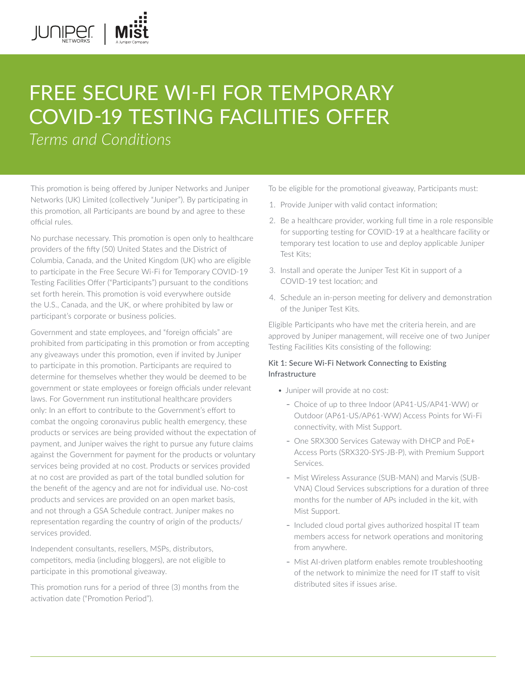# FREE SECURE WI-FI FOR TEMPORARY COVID-19 TESTING FACILITIES OFFER

*Terms and Conditions* 

JUNIPEI.

This promotion is being offered by Juniper Networks and Juniper Networks (UK) Limited (collectively "Juniper"). By participating in this promotion, all Participants are bound by and agree to these official rules.

No purchase necessary. This promotion is open only to healthcare providers of the fifty (50) United States and the District of Columbia, Canada, and the United Kingdom (UK) who are eligible to participate in the Free Secure Wi-Fi for Temporary COVID-19 Testing Facilities Offer ("Participants") pursuant to the conditions set forth herein. This promotion is void everywhere outside the U.S., Canada, and the UK, or where prohibited by law or participant's corporate or business policies.

Government and state employees, and "foreign officials" are prohibited from participating in this promotion or from accepting any giveaways under this promotion, even if invited by Juniper to participate in this promotion. Participants are required to determine for themselves whether they would be deemed to be government or state employees or foreign officials under relevant laws. For Government run institutional healthcare providers only: In an effort to contribute to the Government's effort to combat the ongoing coronavirus public health emergency, these products or services are being provided without the expectation of payment, and Juniper waives the right to pursue any future claims against the Government for payment for the products or voluntary services being provided at no cost. Products or services provided at no cost are provided as part of the total bundled solution for the benefit of the agency and are not for individual use. No-cost products and services are provided on an open market basis, and not through a GSA Schedule contract. Juniper makes no representation regarding the country of origin of the products/ services provided.

Independent consultants, resellers, MSPs, distributors, competitors, media (including bloggers), are not eligible to participate in this promotional giveaway.

This promotion runs for a period of three (3) months from the activation date ("Promotion Period").

To be eligible for the promotional giveaway, Participants must:

- 1. Provide Juniper with valid contact information;
- 2. Be a healthcare provider, working full time in a role responsible for supporting testing for COVID-19 at a healthcare facility or temporary test location to use and deploy applicable Juniper Test Kits;
- 3. Install and operate the Juniper Test Kit in support of a COVID-19 test location; and
- 4. Schedule an in-person meeting for delivery and demonstration of the Juniper Test Kits.

Eligible Participants who have met the criteria herein, and are approved by Juniper management, will receive one of two Juniper Testing Facilities Kits consisting of the following:

## Kit 1: Secure Wi-Fi Network Connecting to Existing Infrastructure

- Juniper will provide at no cost:
	- Choice of up to three Indoor (AP41-US/AP41-WW) or Outdoor (AP61-US/AP61-WW) Access Points for Wi-Fi connectivity, with Mist Support.
	- One SRX300 Services Gateway with DHCP and PoE+ Access Ports (SRX320-SYS-JB-P), with Premium Support Services.
	- Mist Wireless Assurance (SUB-MAN) and Marvis (SUB-VNA) Cloud Services subscriptions for a duration of three months for the number of APs included in the kit, with Mist Support.
	- Included cloud portal gives authorized hospital IT team members access for network operations and monitoring from anywhere.
	- Mist AI-driven platform enables remote troubleshooting of the network to minimize the need for IT staff to visit distributed sites if issues arise.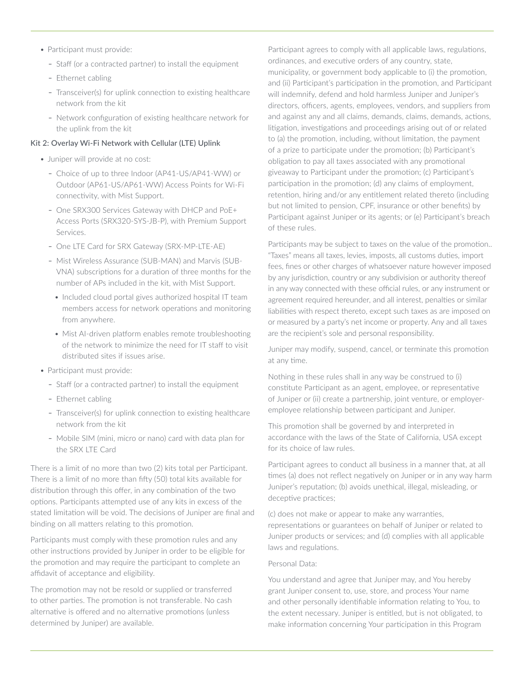- Participant must provide:
	- Staff (or a contracted partner) to install the equipment
	- Ethernet cabling
	- Transceiver(s) for uplink connection to existing healthcare network from the kit
	- Network configuration of existing healthcare network for the uplink from the kit

### Kit 2: Overlay Wi-Fi Network with Cellular (LTE) Uplink

- Juniper will provide at no cost:
	- Choice of up to three Indoor (AP41-US/AP41-WW) or Outdoor (AP61-US/AP61-WW) Access Points for Wi-Fi connectivity, with Mist Support.
	- One SRX300 Services Gateway with DHCP and PoE+ Access Ports (SRX320-SYS-JB-P), with Premium Support Services.
	- One LTE Card for SRX Gateway (SRX-MP-LTE-AE)
	- Mist Wireless Assurance (SUB-MAN) and Marvis (SUB-VNA) subscriptions for a duration of three months for the number of APs included in the kit, with Mist Support.
		- Included cloud portal gives authorized hospital IT team members access for network operations and monitoring from anywhere.
		- Mist AI-driven platform enables remote troubleshooting of the network to minimize the need for IT staff to visit distributed sites if issues arise.
- Participant must provide:
	- Staff (or a contracted partner) to install the equipment
	- Ethernet cabling
	- Transceiver(s) for uplink connection to existing healthcare network from the kit
	- Mobile SIM (mini, micro or nano) card with data plan for the SRX LTE Card

There is a limit of no more than two (2) kits total per Participant. There is a limit of no more than fifty (50) total kits available for distribution through this offer, in any combination of the two options. Participants attempted use of any kits in excess of the stated limitation will be void. The decisions of Juniper are final and binding on all matters relating to this promotion.

Participants must comply with these promotion rules and any other instructions provided by Juniper in order to be eligible for the promotion and may require the participant to complete an affidavit of acceptance and eligibility.

The promotion may not be resold or supplied or transferred to other parties. The promotion is not transferable. No cash alternative is offered and no alternative promotions (unless determined by Juniper) are available.

Participant agrees to comply with all applicable laws, regulations, ordinances, and executive orders of any country, state, municipality, or government body applicable to (i) the promotion, and (ii) Participant's participation in the promotion, and Participant will indemnify, defend and hold harmless Juniper and Juniper's directors, officers, agents, employees, vendors, and suppliers from and against any and all claims, demands, claims, demands, actions, litigation, investigations and proceedings arising out of or related to (a) the promotion, including, without limitation, the payment of a prize to participate under the promotion; (b) Participant's obligation to pay all taxes associated with any promotional giveaway to Participant under the promotion; (c) Participant's participation in the promotion; (d) any claims of employment, retention, hiring and/or any entitlement related thereto (including but not limited to pension, CPF, insurance or other benefits) by Participant against Juniper or its agents; or (e) Participant's breach of these rules.

Participants may be subject to taxes on the value of the promotion.. "Taxes" means all taxes, levies, imposts, all customs duties, import fees, fines or other charges of whatsoever nature however imposed by any jurisdiction, country or any subdivision or authority thereof in any way connected with these official rules, or any instrument or agreement required hereunder, and all interest, penalties or similar liabilities with respect thereto, except such taxes as are imposed on or measured by a party's net income or property. Any and all taxes are the recipient's sole and personal responsibility.

Juniper may modify, suspend, cancel, or terminate this promotion at any time.

Nothing in these rules shall in any way be construed to (i) constitute Participant as an agent, employee, or representative of Juniper or (ii) create a partnership, joint venture, or employeremployee relationship between participant and Juniper.

This promotion shall be governed by and interpreted in accordance with the laws of the State of California, USA except for its choice of law rules.

Participant agrees to conduct all business in a manner that, at all times (a) does not reflect negatively on Juniper or in any way harm Juniper's reputation; (b) avoids unethical, illegal, misleading, or deceptive practices;

(c) does not make or appear to make any warranties, representations or guarantees on behalf of Juniper or related to Juniper products or services; and (d) complies with all applicable laws and regulations.

#### Personal Data:

You understand and agree that Juniper may, and You hereby grant Juniper consent to, use, store, and process Your name and other personally identifiable information relating to You, to the extent necessary. Juniper is entitled, but is not obligated, to make information concerning Your participation in this Program